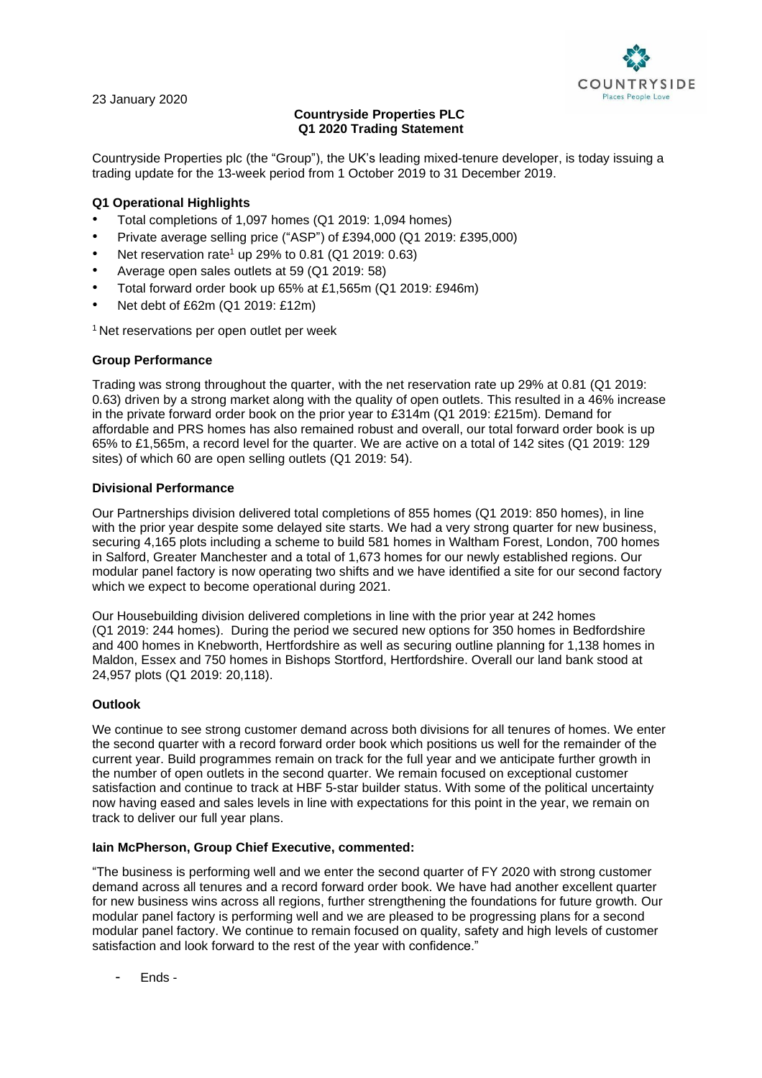

23 January 2020

# **Countryside Properties PLC Q1 2020 Trading Statement**

Countryside Properties plc (the "Group"), the UK's leading mixed-tenure developer, is today issuing a trading update for the 13-week period from 1 October 2019 to 31 December 2019.

## **Q1 Operational Highlights**

- Total completions of 1,097 homes (Q1 2019: 1,094 homes)
- Private average selling price ("ASP") of £394,000 (Q1 2019: £395,000)
- Net reservation rate<sup>1</sup> up 29% to 0.81 (Q1 2019: 0.63)
- Average open sales outlets at 59 (Q1 2019: 58)
- Total forward order book up 65% at £1,565m (Q1 2019: £946m)
- Net debt of £62m (Q1 2019: £12m)

<sup>1</sup> Net reservations per open outlet per week

### **Group Performance**

Trading was strong throughout the quarter, with the net reservation rate up 29% at 0.81 (Q1 2019: 0.63) driven by a strong market along with the quality of open outlets. This resulted in a 46% increase in the private forward order book on the prior year to £314m (Q1 2019: £215m). Demand for affordable and PRS homes has also remained robust and overall, our total forward order book is up 65% to £1,565m, a record level for the quarter. We are active on a total of 142 sites (Q1 2019: 129 sites) of which 60 are open selling outlets (Q1 2019: 54).

### **Divisional Performance**

Our Partnerships division delivered total completions of 855 homes (Q1 2019: 850 homes), in line with the prior year despite some delayed site starts. We had a very strong quarter for new business, securing 4,165 plots including a scheme to build 581 homes in Waltham Forest, London, 700 homes in Salford, Greater Manchester and a total of 1,673 homes for our newly established regions. Our modular panel factory is now operating two shifts and we have identified a site for our second factory which we expect to become operational during 2021.

Our Housebuilding division delivered completions in line with the prior year at 242 homes (Q1 2019: 244 homes). During the period we secured new options for 350 homes in Bedfordshire and 400 homes in Knebworth, Hertfordshire as well as securing outline planning for 1,138 homes in Maldon, Essex and 750 homes in Bishops Stortford, Hertfordshire. Overall our land bank stood at 24,957 plots (Q1 2019: 20,118).

## **Outlook**

We continue to see strong customer demand across both divisions for all tenures of homes. We enter the second quarter with a record forward order book which positions us well for the remainder of the current year. Build programmes remain on track for the full year and we anticipate further growth in the number of open outlets in the second quarter. We remain focused on exceptional customer satisfaction and continue to track at HBF 5-star builder status. With some of the political uncertainty now having eased and sales levels in line with expectations for this point in the year, we remain on track to deliver our full year plans.

#### **Iain McPherson, Group Chief Executive, commented:**

"The business is performing well and we enter the second quarter of FY 2020 with strong customer demand across all tenures and a record forward order book. We have had another excellent quarter for new business wins across all regions, further strengthening the foundations for future growth. Our modular panel factory is performing well and we are pleased to be progressing plans for a second modular panel factory. We continue to remain focused on quality, safety and high levels of customer satisfaction and look forward to the rest of the year with confidence."

- Ends -